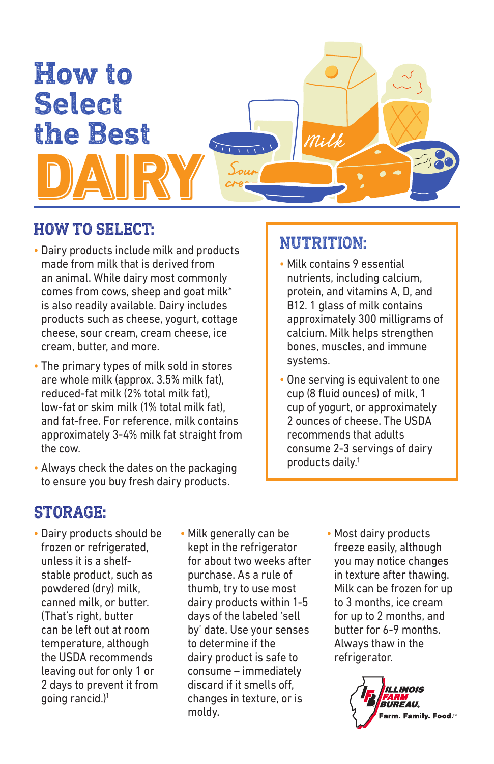

## **HOW TO SELECT:**

- Dairy products include milk and products made from milk that is derived from an animal. While dairy most commonly comes from cows, sheep and goat milk\* is also readily available. Dairy includes products such as cheese, yogurt, cottage cheese, sour cream, cream cheese, ice cream, butter, and more.
- The primary types of milk sold in stores are whole milk (approx. 3.5% milk fat), reduced-fat milk (2% total milk fat), low-fat or skim milk (1% total milk fat), and fat-free. For reference, milk contains approximately 3-4% milk fat straight from the cow.
- Always check the dates on the packaging to ensure you buy fresh dairy products.

## **NUTRITION:**

- Milk contains 9 essential nutrients, including calcium, protein, and vitamins A, D, and B12. 1 glass of milk contains approximately 300 milligrams of calcium. Milk helps strengthen bones, muscles, and immune systems.
- One serving is equivalent to one cup (8 fluid ounces) of milk, 1 cup of yogurt, or approximately 2 ounces of cheese. The USDA recommends that adults consume 2-3 servings of dairy products daily.1

## **STORAGE:**

- Dairy products should be frozen or refrigerated, unless it is a shelfstable product, such as powdered (dry) milk, canned milk, or butter. (That's right, butter can be left out at room temperature, although the USDA recommends leaving out for only 1 or 2 days to prevent it from going rancid.)1
- Milk generally can be kept in the refrigerator for about two weeks after purchase. As a rule of thumb, try to use most dairy products within 1-5 days of the labeled 'sell by' date. Use your senses to determine if the dairy product is safe to consume – immediately discard if it smells off, changes in texture, or is moldy.
- Most dairy products freeze easily, although you may notice changes in texture after thawing. Milk can be frozen for up to 3 months, ice cream for up to 2 months, and butter for 6-9 months. Always thaw in the refrigerator.